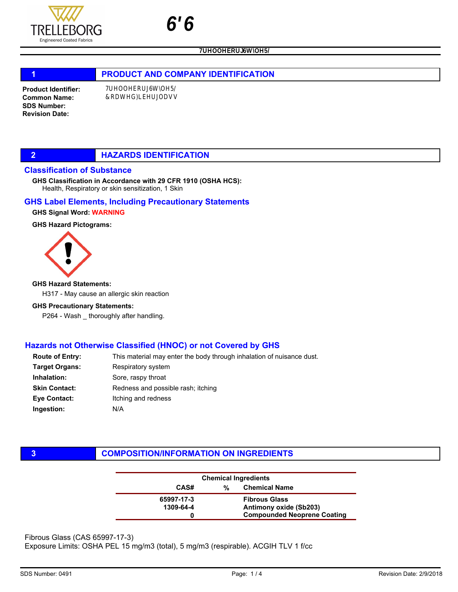

# 1 **PRODUCT AND COMPANY IDENTIFICATION**

Product Identifier: Common Name: SDS Number: Revision Date:

## **2 HAZARDS IDENTIFICATION**

#### Classification of Substance

Health, Respiratory or skin sensitization, 1 Skin GHS Classification in Accordance with 29 CFR 1910 (OSHA HCS):

#### GHS Label Elements, Including Precautionary Statements

GHS Signal Word: WARNING

#### GHS Hazard Pictograms:



#### GHS Hazard Statements:

H317 - May cause an allergic skin reaction

#### GHS Precautionary Statements:

P264 - Wash \_ thoroughly after handling.

## Hazards not Otherwise Classified (HNOC) or not Covered by GHS

| This material may enter the body through inhalation of nuisance dust. |
|-----------------------------------------------------------------------|
| Respiratory system                                                    |
| Sore, raspy throat                                                    |
| Redness and possible rash; itching                                    |
| Itching and redness                                                   |
| N/A                                                                   |
|                                                                       |

# **3 COMPOSITION/INFORMATION ON INGREDIENTS**

| <b>Chemical Ingredients</b> |   |                                    |
|-----------------------------|---|------------------------------------|
| CAS#                        | % | <b>Chemical Name</b>               |
| 65997-17-3                  |   | <b>Fibrous Glass</b>               |
| 1309-64-4                   |   | Antimony oxide (Sb203)             |
|                             |   | <b>Compounded Neoprene Coating</b> |

Fibrous Glass (CAS 65997-17-3)

Exposure Limits: OSHA PEL 15 mg/m3 (total), 5 mg/m3 (respirable). ACGIH TLV 1 f/cc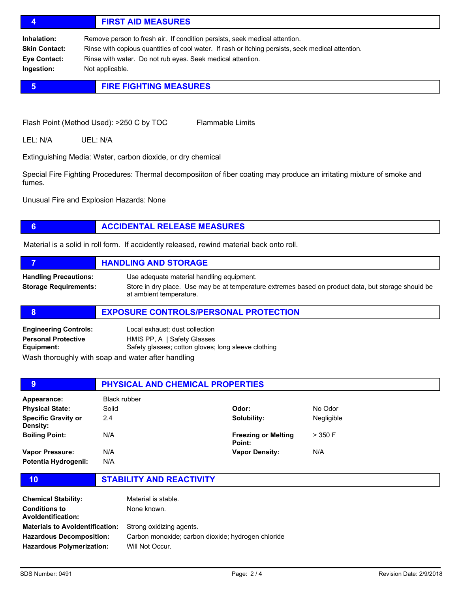# 4 FIRST AID MEASURES

Inhalation: Remove person to fresh air. If condition persists, seek medical attention. Skin Contact: Rinse with copious quantities of cool water. If rash or itching persists, seek medical attention. Eye Contact: Rinse with water. Do not rub eyes. Seek medical attention. Ingestion: Not applicable.

# **5 FIRE FIGHTING MEASURES**

Flash Point (Method Used): >250 C by TOC Flammable Limits

LEL: N/A UEL: N/A

Extinguishing Media: Water, carbon dioxide, or dry chemical

Special Fire Fighting Procedures: Thermal decomposiiton of fiber coating may produce an irritating mixture of smoke and fumes.

Unusual Fire and Explosion Hazards: None

# **6 ACCIDENTAL RELEASE MEASURES**

Material is a solid in roll form. If accidently released, rewind material back onto roll.

|                                                              | <b>HANDLING AND STORAGE</b>                                                                                                                                                 |
|--------------------------------------------------------------|-----------------------------------------------------------------------------------------------------------------------------------------------------------------------------|
| <b>Handling Precautions:</b><br><b>Storage Requirements:</b> | Use adequate material handling equipment.<br>Store in dry place. Use may be at temperature extremes based on product data, but storage should be<br>at ambient temperature. |

#### 8 **EXPOSURE CONTROLS/PERSONAL PROTECTION**

| <b>Engineering Controls:</b>                       | Local exhaust; dust collection                      |
|----------------------------------------------------|-----------------------------------------------------|
| <b>Personal Protective</b>                         | HMIS PP, A   Safety Glasses                         |
| Equipment:                                         | Safety glasses; cotton gloves; long sleeve clothing |
| Maah tharaughly with agan and water ofter bondling |                                                     |

Wash thoroughly with soap and water after handling

| 9                                             | <b>PHYSICAL AND CHEMICAL PROPERTIES</b> |                                      |            |  |
|-----------------------------------------------|-----------------------------------------|--------------------------------------|------------|--|
| Appearance:                                   | Black rubber                            |                                      |            |  |
| <b>Physical State:</b>                        | Solid                                   | Odor:                                | No Odor    |  |
| <b>Specific Gravity or</b><br><b>Density:</b> | 2.4                                     | Solubility:                          | Negligible |  |
| <b>Boiling Point:</b>                         | N/A                                     | <b>Freezing or Melting</b><br>Point: | $>$ 350 F  |  |
| Vapor Pressure:                               | N/A                                     | <b>Vapor Density:</b>                | N/A        |  |
| Potentia Hydrogenii:                          | N/A                                     |                                      |            |  |

10 STABILITY AND REACTIVITY

| <b>Chemical Stability:</b><br><b>Conditions to</b><br><b>Avoldentification:</b> | Material is stable.<br>None known.                 |
|---------------------------------------------------------------------------------|----------------------------------------------------|
| <b>Materials to Avoldentification:</b>                                          | Strong oxidizing agents.                           |
| <b>Hazardous Decomposition:</b>                                                 | Carbon monoxide; carbon dioxide; hydrogen chloride |
| <b>Hazardous Polymerization:</b>                                                | Will Not Occur.                                    |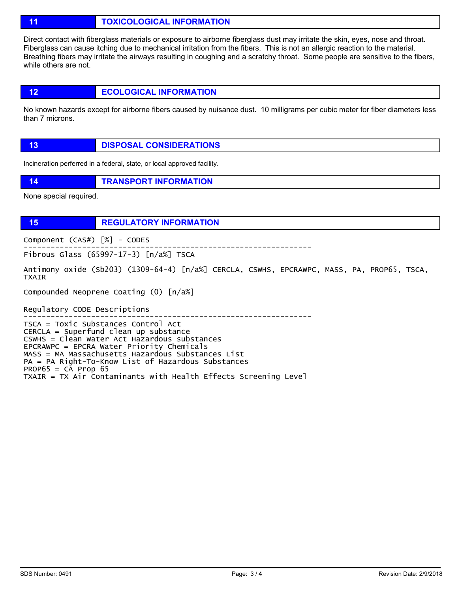11 **TOXICOLOGICAL INFORMATION** 

Direct contact with fiberglass materials or exposure to airborne fiberglass dust may irritate the skin, eyes, nose and throat. Fiberglass can cause itching due to mechanical irritation from the fibers. This is not an allergic reaction to the material. Breathing fibers may irritate the airways resulting in coughing and a scratchy throat. Some people are sensitive to the fibers, while others are not.

12 **ECOLOGICAL INFORMATION** 

No known hazards except for airborne fibers caused by nuisance dust. 10 milligrams per cubic meter for fiber diameters less than 7 microns.

| <b>DISPOSAL CONSIDERATIONS</b> |
|--------------------------------|

Incineration perferred in a federal, state, or local approved facility.

14 **TRANSPORT INFORMATION** 

None special required.

15 REGULATORY INFORMATION

Component (CAS#) [%] - CODES ----------------------------------------------------------------

Fibrous Glass (65997-17-3) [n/a%] TSCA

Antimony oxide (Sb203) (1309-64-4) [n/a%] CERCLA, CSWHS, EPCRAWPC, MASS, PA, PROP65, TSCA, TXAIR

Compounded Neoprene Coating (0) [n/a%]

Regulatory CODE Descriptions

----------------------------------------------------------------

TSCA = Toxic Substances Control Act CERCLA = Superfund clean up substance CSWHS = Clean Water Act Hazardous substances EPCRAWPC = EPCRA Water Priority Chemicals MASS = MA Massachusetts Hazardous Substances List PA = PA Right-To-Know List of Hazardous Substances  $PROP65 = CA$  Prop 65 TXAIR = TX Air Contaminants with Health Effects Screening Level